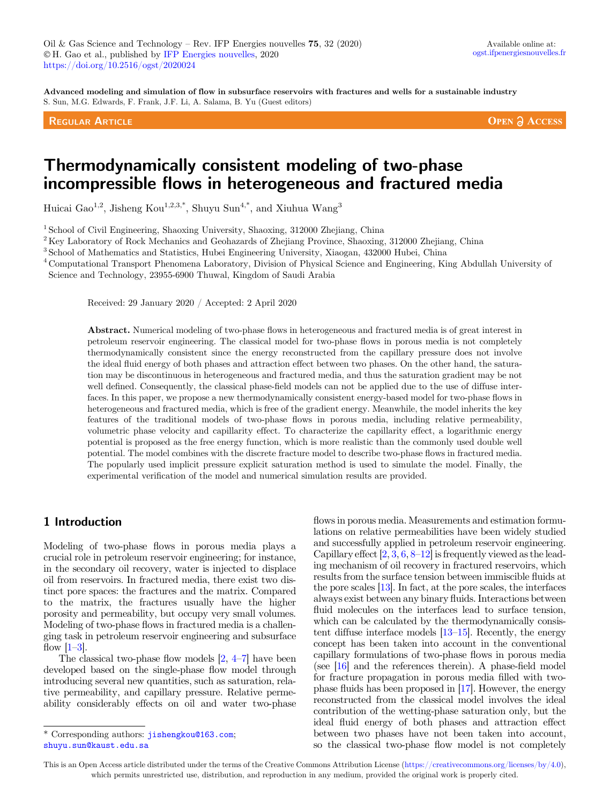Advanced modeling and simulation of flow in subsurface reservoirs with fractures and wells for a sustainable industry S. Sun, M.G. Edwards, F. Frank, J.F. Li, A. Salama, B. Yu (Guest editors)

REGULAR ARTICLE

**OPEN A ACCESS** 

# Thermodynamically consistent modeling of two-phase incompressible flows in heterogeneous and fractured media

Huicai Gao<sup>1,2</sup>, Jisheng Kou<sup>1,2,3,\*</sup>, Shuyu Sun<sup>4,\*</sup>, and Xiuhua Wang<sup>3</sup>

<sup>1</sup> School of Civil Engineering, Shaoxing University, Shaoxing, 312000 Zhejiang, China

<sup>2</sup> Key Laboratory of Rock Mechanics and Geohazards of Zhejiang Province, Shaoxing, 312000 Zhejiang, China

<sup>3</sup> School of Mathematics and Statistics, Hubei Engineering University, Xiaogan, 432000 Hubei, China

<sup>4</sup> Computational Transport Phenomena Laboratory, Division of Physical Science and Engineering, King Abdullah University of Science and Technology, 23955-6900 Thuwal, Kingdom of Saudi Arabia

Received: 29 January 2020 / Accepted: 2 April 2020

Abstract. Numerical modeling of two-phase flows in heterogeneous and fractured media is of great interest in petroleum reservoir engineering. The classical model for two-phase flows in porous media is not completely thermodynamically consistent since the energy reconstructed from the capillary pressure does not involve the ideal fluid energy of both phases and attraction effect between two phases. On the other hand, the saturation may be discontinuous in heterogeneous and fractured media, and thus the saturation gradient may be not well defined. Consequently, the classical phase-field models can not be applied due to the use of diffuse interfaces. In this paper, we propose a new thermodynamically consistent energy-based model for two-phase flows in heterogeneous and fractured media, which is free of the gradient energy. Meanwhile, the model inherits the key features of the traditional models of two-phase flows in porous media, including relative permeability, volumetric phase velocity and capillarity effect. To characterize the capillarity effect, a logarithmic energy potential is proposed as the free energy function, which is more realistic than the commonly used double well potential. The model combines with the discrete fracture model to describe two-phase flows in fractured media. The popularly used implicit pressure explicit saturation method is used to simulate the model. Finally, the experimental verification of the model and numerical simulation results are provided.

# 1 Introduction

Modeling of two-phase flows in porous media plays a crucial role in petroleum reservoir engineering; for instance, in the secondary oil recovery, water is injected to displace oil from reservoirs. In fractured media, there exist two distinct pore spaces: the fractures and the matrix. Compared to the matrix, the fractures usually have the higher porosity and permeability, but occupy very small volumes. Modeling of two-phase flows in fractured media is a challenging task in petroleum reservoir engineering and subsurface flow [[1](#page-10-0)–[3](#page-10-0)].

The classical two-phase flow models [\[2](#page-10-0), [4](#page-10-0)–[7\]](#page-10-0) have been developed based on the single-phase flow model through introducing several new quantities, such as saturation, relative permeability, and capillary pressure. Relative permeability considerably effects on oil and water two-phase

\* Corresponding authors: jishengkou@163.com; shuyu.sun@kaust.edu.sa

flows in porous media. Measurements and estimation formulations on relative permeabilities have been widely studied and successfully applied in petroleum reservoir engineering. Capillary effect  $[2, 3, 6, 8-12]$  $[2, 3, 6, 8-12]$  $[2, 3, 6, 8-12]$  $[2, 3, 6, 8-12]$  $[2, 3, 6, 8-12]$  $[2, 3, 6, 8-12]$  $[2, 3, 6, 8-12]$  $[2, 3, 6, 8-12]$  $[2, 3, 6, 8-12]$  $[2, 3, 6, 8-12]$  is frequently viewed as the leading mechanism of oil recovery in fractured reservoirs, which results from the surface tension between immiscible fluids at the pore scales [\[13\]](#page-10-0). In fact, at the pore scales, the interfaces always exist between any binary fluids. Interactions between fluid molecules on the interfaces lead to surface tension, which can be calculated by the thermodynamically consistent diffuse interface models [\[13](#page-10-0)–[15](#page-10-0)]. Recently, the energy concept has been taken into account in the conventional capillary formulations of two-phase flows in porous media (see [\[16\]](#page-10-0) and the references therein). A phase-field model for fracture propagation in porous media filled with twophase fluids has been proposed in [[17](#page-10-0)]. However, the energy reconstructed from the classical model involves the ideal contribution of the wetting-phase saturation only, but the ideal fluid energy of both phases and attraction effect between two phases have not been taken into account, so the classical two-phase flow model is not completely

This is an Open Access article distributed under the terms of the Creative Commons Attribution License [\(https://creativecommons.org/licenses/by/4.0\)](https://creativecommons.org/licenses/by/4.0/), which permits unrestricted use, distribution, and reproduction in any medium, provided the original work is properly cited.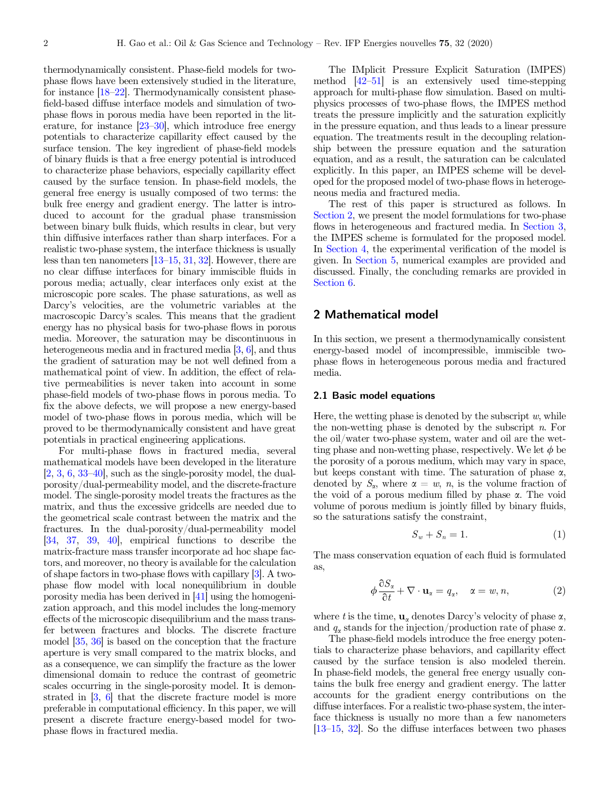<span id="page-1-0"></span>thermodynamically consistent. Phase-field models for twophase flows have been extensively studied in the literature, for instance [\[18](#page-10-0)–[22\]](#page-10-0). Thermodynamically consistent phasefield-based diffuse interface models and simulation of twophase flows in porous media have been reported in the literature, for instance [[23](#page-10-0)–[30](#page-11-0)], which introduce free energy potentials to characterize capillarity effect caused by the surface tension. The key ingredient of phase-field models of binary fluids is that a free energy potential is introduced to characterize phase behaviors, especially capillarity effect caused by the surface tension. In phase-field models, the general free energy is usually composed of two terms: the bulk free energy and gradient energy. The latter is introduced to account for the gradual phase transmission between binary bulk fluids, which results in clear, but very thin diffusive interfaces rather than sharp interfaces. For a realistic two-phase system, the interface thickness is usually less than ten nanometers [[13](#page-10-0)–[15](#page-10-0), [31,](#page-11-0) [32](#page-11-0)]. However, there are no clear diffuse interfaces for binary immiscible fluids in porous media; actually, clear interfaces only exist at the microscopic pore scales. The phase saturations, as well as Darcy's velocities, are the volumetric variables at the macroscopic Darcy's scales. This means that the gradient energy has no physical basis for two-phase flows in porous media. Moreover, the saturation may be discontinuous in heterogeneous media and in fractured media [\[3](#page-10-0), [6](#page-10-0)], and thus the gradient of saturation may be not well defined from a mathematical point of view. In addition, the effect of relative permeabilities is never taken into account in some phase-field models of two-phase flows in porous media. To fix the above defects, we will propose a new energy-based model of two-phase flows in porous media, which will be proved to be thermodynamically consistent and have great potentials in practical engineering applications.

For multi-phase flows in fractured media, several mathematical models have been developed in the literature [\[2,](#page-10-0) [3](#page-10-0), [6,](#page-10-0) [33](#page-11-0)–[40](#page-11-0)], such as the single-porosity model, the dualporosity/dual-permeability model, and the discrete-fracture model. The single-porosity model treats the fractures as the matrix, and thus the excessive gridcells are needed due to the geometrical scale contrast between the matrix and the fractures. In the dual-porosity/dual-permeability model [\[34,](#page-11-0) [37,](#page-11-0) [39,](#page-11-0) [40](#page-11-0)], empirical functions to describe the matrix-fracture mass transfer incorporate ad hoc shape factors, and moreover, no theory is available for the calculation of shape factors in two-phase flows with capillary [\[3](#page-10-0)]. A twophase flow model with local nonequilibrium in double porosity media has been derived in [[41](#page-11-0)] using the homogenization approach, and this model includes the long-memory effects of the microscopic disequilibrium and the mass transfer between fractures and blocks. The discrete fracture model [\[35](#page-11-0), [36\]](#page-11-0) is based on the conception that the fracture aperture is very small compared to the matrix blocks, and as a consequence, we can simplify the fracture as the lower dimensional domain to reduce the contrast of geometric scales occurring in the single-porosity model. It is demonstrated in [\[3,](#page-10-0) [6\]](#page-10-0) that the discrete fracture model is more preferable in computational efficiency. In this paper, we will present a discrete fracture energy-based model for twophase flows in fractured media.

The IMplicit Pressure Explicit Saturation (IMPES) method [\[42](#page-11-0)–[51\]](#page-11-0) is an extensively used time-stepping approach for multi-phase flow simulation. Based on multiphysics processes of two-phase flows, the IMPES method treats the pressure implicitly and the saturation explicitly in the pressure equation, and thus leads to a linear pressure equation. The treatments result in the decoupling relationship between the pressure equation and the saturation equation, and as a result, the saturation can be calculated explicitly. In this paper, an IMPES scheme will be developed for the proposed model of two-phase flows in heterogeneous media and fractured media.

The rest of this paper is structured as follows. In Section 2, we present the model formulations for two-phase flows in heterogeneous and fractured media. In [Section 3](#page-5-0), the IMPES scheme is formulated for the proposed model. In [Section 4,](#page-5-0) the experimental verification of the model is given. In [Section 5](#page-6-0), numerical examples are provided and discussed. Finally, the concluding remarks are provided in [Section 6.](#page-10-0)

# 2 Mathematical model

In this section, we present a thermodynamically consistent energy-based model of incompressible, immiscible twophase flows in heterogeneous porous media and fractured media.

#### 2.1 Basic model equations

Here, the wetting phase is denoted by the subscript  $w$ , while the non-wetting phase is denoted by the subscript  $n$ . For the oil/water two-phase system, water and oil are the wetting phase and non-wetting phase, respectively. We let  $\phi$  be the porosity of a porous medium, which may vary in space, but keeps constant with time. The saturation of phase  $\alpha$ , denoted by  $S_{\alpha}$ , where  $\alpha = w$ , n, is the volume fraction of the void of a porous medium filled by phase  $\alpha$ . The void volume of porous medium is jointly filled by binary fluids, so the saturations satisfy the constraint,

$$
S_w + S_n = 1. \tag{1}
$$

The mass conservation equation of each fluid is formulated as,

$$
\phi \frac{\partial S_{\alpha}}{\partial t} + \nabla \cdot \mathbf{u}_{\alpha} = q_{\alpha}, \quad \alpha = w, n,
$$
 (2)

where t is the time,  $\mathbf{u}_{\alpha}$  denotes Darcy's velocity of phase  $\alpha$ , and  $q_{\alpha}$  stands for the injection/production rate of phase  $\alpha$ .

The phase-field models introduce the free energy potentials to characterize phase behaviors, and capillarity effect caused by the surface tension is also modeled therein. In phase-field models, the general free energy usually contains the bulk free energy and gradient energy. The latter accounts for the gradient energy contributions on the diffuse interfaces. For a realistic two-phase system, the interface thickness is usually no more than a few nanometers [[13](#page-10-0)–[15,](#page-10-0) [32\]](#page-11-0). So the diffuse interfaces between two phases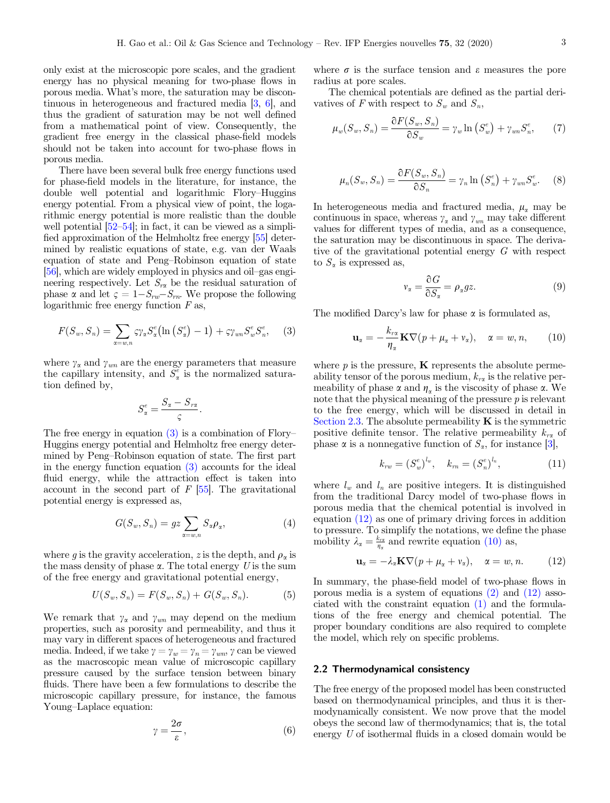<span id="page-2-0"></span>only exist at the microscopic pore scales, and the gradient energy has no physical meaning for two-phase flows in porous media. What's more, the saturation may be discontinuous in heterogeneous and fractured media [\[3](#page-10-0), [6\]](#page-10-0), and thus the gradient of saturation may be not well defined from a mathematical point of view. Consequently, the gradient free energy in the classical phase-field models should not be taken into account for two-phase flows in porous media.

There have been several bulk free energy functions used for phase-field models in the literature, for instance, the double well potential and logarithmic Flory–Huggins energy potential. From a physical view of point, the logarithmic energy potential is more realistic than the double well potential  $[52-54]$  $[52-54]$  $[52-54]$  $[52-54]$ ; in fact, it can be viewed as a simplified approximation of the Helmholtz free energy [\[55](#page-11-0)] determined by realistic equations of state, e.g. van der Waals equation of state and Peng–Robinson equation of state [\[56\]](#page-11-0), which are widely employed in physics and oil–gas engineering respectively. Let  $S_{r\alpha}$  be the residual saturation of phase  $\alpha$  and let  $\zeta = 1 - S_{rw} - S_{rn}$ . We propose the following logarithmic free energy function  $F$  as,

$$
F(S_w, S_n) = \sum_{\alpha = w,n} \varsigma \gamma_\alpha S_\alpha^e (\ln \left( S_\alpha^e \right) - 1) + \varsigma \gamma_{wn} S_w^e S_n^e, \quad (3)
$$

where  $\gamma_{\alpha}$  and  $\gamma_{wn}$  are the energy parameters that measure the capillary intensity, and  $S^e_{\alpha}$  is the normalized satura-<br>tion defined by tion defined by,

$$
S_{\alpha}^e = \frac{S_{\alpha} - S_{r\alpha}}{\varsigma}.
$$

The free energy in equation  $(3)$  is a combination of Flory– Huggins energy potential and Helmholtz free energy determined by Peng–Robinson equation of state. The first part in the energy function equation  $(3)$  accounts for the ideal fluid energy, while the attraction effect is taken into account in the second part of  $F$  [\[55\]](#page-11-0). The gravitational potential energy is expressed as,

$$
G(S_w, S_n) = gz \sum_{\alpha = w, n} S_{\alpha} \rho_{\alpha}, \qquad (4)
$$

where g is the gravity acceleration, z is the depth, and  $\rho_{\alpha}$  is the mass density of phase  $\alpha$ . The total energy U is the sum of the free energy and gravitational potential energy,

$$
U(S_w, S_n) = F(S_w, S_n) + G(S_w, S_n). \tag{5}
$$

We remark that  $\gamma_{\alpha}$  and  $\gamma_{wn}$  may depend on the medium properties, such as porosity and permeability, and thus it may vary in different spaces of heterogeneous and fractured media. Indeed, if we take  $\gamma = \gamma_w = \gamma_n = \gamma_{wn}$ ,  $\gamma$  can be viewed as the macroscopic mean value of microscopic capillary pressure caused by the surface tension between binary fluids. There have been a few formulations to describe the microscopic capillary pressure, for instance, the famous Young–Laplace equation:

$$
\gamma = \frac{2\sigma}{\varepsilon},\tag{6}
$$

where  $\sigma$  is the surface tension and  $\varepsilon$  measures the pore radius at pore scales.

The chemical potentials are defined as the partial derivatives of F with respect to  $S_w$  and  $S_n$ ,

$$
\mu_w(S_w, S_n) = \frac{\partial F(S_w, S_n)}{\partial S_w} = \gamma_w \ln \left( S_w^e \right) + \gamma_{wn} S_n^e, \tag{7}
$$

$$
\mu_n(S_w, S_n) = \frac{\partial F(S_w, S_n)}{\partial S_n} = \gamma_n \ln(S_n^e) + \gamma_{wn} S_w^e. \tag{8}
$$

In heterogeneous media and fractured media,  $\mu_{\alpha}$  may be continuous in space, whereas  $\gamma_{\alpha}$  and  $\gamma_{wn}$  may take different values for different types of media, and as a consequence, the saturation may be discontinuous in space. The derivative of the gravitational potential energy G with respect to  $S_{\alpha}$  is expressed as,

$$
\nu_{\alpha} = \frac{\partial G}{\partial S_{\alpha}} = \rho_{\alpha} gz. \tag{9}
$$

The modified Darcy's law for phase  $\alpha$  is formulated as,

$$
\mathbf{u}_{\alpha} = -\frac{k_{r\alpha}}{\eta_{\alpha}} \mathbf{K} \nabla (p + \mu_{\alpha} + v_{\alpha}), \quad \alpha = w, n,
$$
 (10)

where  $p$  is the pressure,  $\bf{K}$  represents the absolute permeability tensor of the porous medium,  $k_{r\alpha}$  is the relative permeability of phase  $\alpha$  and  $\eta_{\alpha}$  is the viscosity of phase  $\alpha$ . We note that the physical meaning of the pressure  $p$  is relevant to the free energy, which will be discussed in detail in [Section 2.3.](#page-3-0) The absolute permeability  $\bf{K}$  is the symmetric positive definite tensor. The relative permeability  $k_{rx}$  of phase  $\alpha$  is a nonnegative function of  $S_{\alpha}$ , for instance [[3\]](#page-10-0),

$$
k_{rw} = (S_w^e)^{l_w}, \quad k_{rn} = (S_n^e)^{l_n}, \tag{11}
$$

where  $l_w$  and  $l_n$  are positive integers. It is distinguished from the traditional Darcy model of two-phase flows in porous media that the chemical potential is involved in equation (12) as one of primary driving forces in addition to pressure. To simplify the notations, we define the phase mobility  $\lambda_{\alpha} = \frac{k_{rx}}{\eta_{\alpha}}$  and rewrite equation (10) as,

$$
\mathbf{u}_{\alpha} = -\lambda_{\alpha} \mathbf{K} \nabla (p + \mu_{\alpha} + v_{\alpha}), \quad \alpha = w, n. \tag{12}
$$

In summary, the phase-field model of two-phase flows in porous media is a system of equations  $(2)$  and  $(12)$  associated with the constraint equation [\(1\)](#page-1-0) and the formulations of the free energy and chemical potential. The proper boundary conditions are also required to complete the model, which rely on specific problems.

#### 2.2 Thermodynamical consistency

The free energy of the proposed model has been constructed based on thermodynamical principles, and thus it is thermodynamically consistent. We now prove that the model obeys the second law of thermodynamics; that is, the total energy U of isothermal fluids in a closed domain would be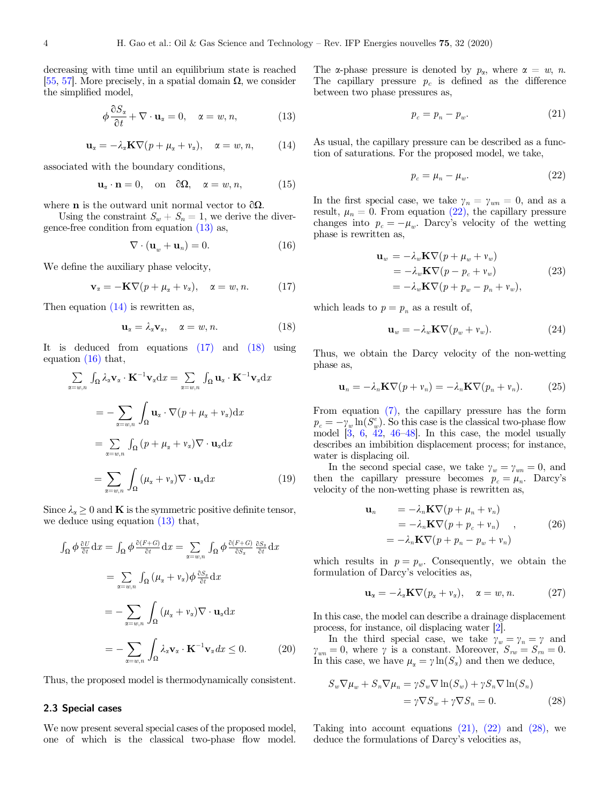<span id="page-3-0"></span>decreasing with time until an equilibrium state is reached [\[55,](#page-11-0) [57](#page-11-0)]. More precisely, in a spatial domain  $\Omega$ , we consider the simplified model,

$$
\phi \frac{\partial S_{\alpha}}{\partial t} + \nabla \cdot \mathbf{u}_{\alpha} = 0, \quad \alpha = w, n,
$$
\n(13)

$$
\mathbf{u}_{\alpha} = -\lambda_{\alpha} \mathbf{K} \nabla (p + \mu_{\alpha} + \nu_{\alpha}), \quad \alpha = w, n,
$$
 (14)

associated with the boundary conditions,

$$
\mathbf{u}_{\alpha} \cdot \mathbf{n} = 0, \quad \text{on} \quad \partial \Omega, \quad \alpha = w, n,
$$
 (15)

where **n** is the outward unit normal vector to  $\partial\Omega$ .

Using the constraint  $S_w + S_n = 1$ , we derive the divergence-free condition from equation (13) as,

$$
\nabla \cdot (\mathbf{u}_w + \mathbf{u}_n) = 0. \tag{16}
$$

We define the auxiliary phase velocity,

$$
\mathbf{v}_{\alpha} = -\mathbf{K}\nabla(p + \mu_{\alpha} + v_{\alpha}), \quad \alpha = w, n. \tag{17}
$$

Then equation  $(14)$  is rewritten as,

$$
\mathbf{u}_{\alpha} = \lambda_{\alpha} \mathbf{v}_{\alpha}, \quad \alpha = w, n. \tag{18}
$$

It is deduced from equations (17) and (18) using equation (16) that,

$$
\sum_{\alpha=w,n} \int_{\Omega} \lambda_{\alpha} \mathbf{v}_{\alpha} \cdot \mathbf{K}^{-1} \mathbf{v}_{\alpha} dx = \sum_{\alpha=w,n} \int_{\Omega} \mathbf{u}_{\alpha} \cdot \mathbf{K}^{-1} \mathbf{v}_{\alpha} dx
$$

$$
= - \sum_{\alpha=w,n} \int_{\Omega} \mathbf{u}_{\alpha} \cdot \nabla (p + \mu_{\alpha} + \nu_{\alpha}) dx
$$

$$
= \sum_{\alpha=w,n} \int_{\Omega} (p + \mu_{\alpha} + \nu_{\alpha}) \nabla \cdot \mathbf{u}_{\alpha} dx
$$

$$
= \sum_{\alpha=w,n} \int_{\Omega} (\mu_{\alpha} + \nu_{\alpha}) \nabla \cdot \mathbf{u}_{\alpha} dx \qquad (19)
$$

Since  $\lambda_{\alpha} \geq 0$  and **K** is the symmetric positive definite tensor, we deduce using equation (13) that,

$$
\int_{\Omega} \phi \frac{\partial U}{\partial t} dx = \int_{\Omega} \phi \frac{\partial (F + G)}{\partial t} dx = \sum_{\alpha = w, n} \int_{\Omega} \phi \frac{\partial (F + G)}{\partial s_{\alpha}} \frac{\partial s_{\alpha}}{\partial t} dx
$$

$$
= \sum_{\alpha = w, n} \int_{\Omega} (\mu_{\alpha} + v_{\alpha}) \phi \frac{\partial s_{\alpha}}{\partial t} dx
$$

$$
= - \sum_{\alpha = w, n} \int_{\Omega} (\mu_{\alpha} + v_{\alpha}) \nabla \cdot \mathbf{u}_{\alpha} dx
$$

$$
= - \sum_{\alpha = w, n} \int_{\Omega} \lambda_{\alpha} \mathbf{v}_{\alpha} \cdot \mathbf{K}^{-1} \mathbf{v}_{\alpha} dx \le 0. \tag{20}
$$

Thus, the proposed model is thermodynamically consistent.

#### 2.3 Special cases

We now present several special cases of the proposed model, one of which is the classical two-phase flow model.

The  $\alpha$ -phase pressure is denoted by  $p_{\alpha}$ , where  $\alpha = w$ , n. The capillary pressure  $p_c$  is defined as the difference between two phase pressures as,

$$
p_c = p_n - p_w. \tag{21}
$$

As usual, the capillary pressure can be described as a function of saturations. For the proposed model, we take,

$$
p_c = \mu_n - \mu_w. \tag{22}
$$

In the first special case, we take  $\gamma_n = \gamma_{wn} = 0$ , and as a result,  $\mu_n = 0$ . From equation (22), the capillary pressure changes into  $p_c = -\mu_w$ . Darcy's velocity of the wetting phase is rewritten as,

$$
\mathbf{u}_w = -\lambda_w \mathbf{K} \nabla (p + \mu_w + v_w) \n= -\lambda_w \mathbf{K} \nabla (p - p_c + v_w) \n= -\lambda_w \mathbf{K} \nabla (p + p_w - p_n + v_w),
$$
\n(23)

which leads to  $p = p_n$  as a result of,

$$
\mathbf{u}_w = -\lambda_w \mathbf{K} \nabla (p_w + v_w). \tag{24}
$$

Thus, we obtain the Darcy velocity of the non-wetting phase as,

$$
\mathbf{u}_n = -\lambda_n \mathbf{K} \nabla (p + v_n) = -\lambda_n \mathbf{K} \nabla (p_n + v_n). \tag{25}
$$

From equation [\(7\),](#page-2-0) the capillary pressure has the form  $p_c = -\gamma_w \ln(S_w^e)$ . So this case is the classical two-phase flow<br>model 13, 6, 42, 46–481. In this case, the model usually model [[3,](#page-10-0) [6](#page-10-0), [42,](#page-11-0) [46](#page-11-0)–[48](#page-11-0)]. In this case, the model usually describes an imbibition displacement process; for instance, water is displacing oil.

In the second special case, we take  $\gamma_w = \gamma_{vm} = 0$ , and then the capillary pressure becomes  $p_c = \mu_n$ . Darcy's velocity of the non-wetting phase is rewritten as,

$$
\mathbf{u}_n = -\lambda_n \mathbf{K} \nabla (p + \mu_n + v_n)
$$
  
=  $-\lambda_n \mathbf{K} \nabla (p + p_c + v_n)$ , (26)  
=  $-\lambda_n \mathbf{K} \nabla (p + p_n - p_w + v_n)$ 

which results in  $p = p_w$ . Consequently, we obtain the formulation of Darcy's velocities as,

$$
\mathbf{u}_{\alpha} = -\lambda_{\alpha} \mathbf{K} \nabla (p_{\alpha} + v_{\alpha}), \quad \alpha = w, n. \tag{27}
$$

In this case, the model can describe a drainage displacement process, for instance, oil displacing water [\[2\]](#page-10-0).

In the third special case, we take  $\gamma_w = \gamma_n = \gamma$  and  $\gamma_{wn} = 0$ , where  $\gamma$  is a constant. Moreover,  $S_{rw} = S_{rn} = 0$ . In this case, we have  $\mu_{\alpha} = \gamma \ln(S_{\alpha})$  and then we deduce,

$$
S_w \nabla \mu_w + S_n \nabla \mu_n = \gamma S_w \nabla \ln(S_w) + \gamma S_n \nabla \ln(S_n)
$$
  
=  $\gamma \nabla S_w + \gamma \nabla S_n = 0.$  (28)

Taking into account equations  $(21)$ ,  $(22)$  and  $(28)$ , we deduce the formulations of Darcy's velocities as,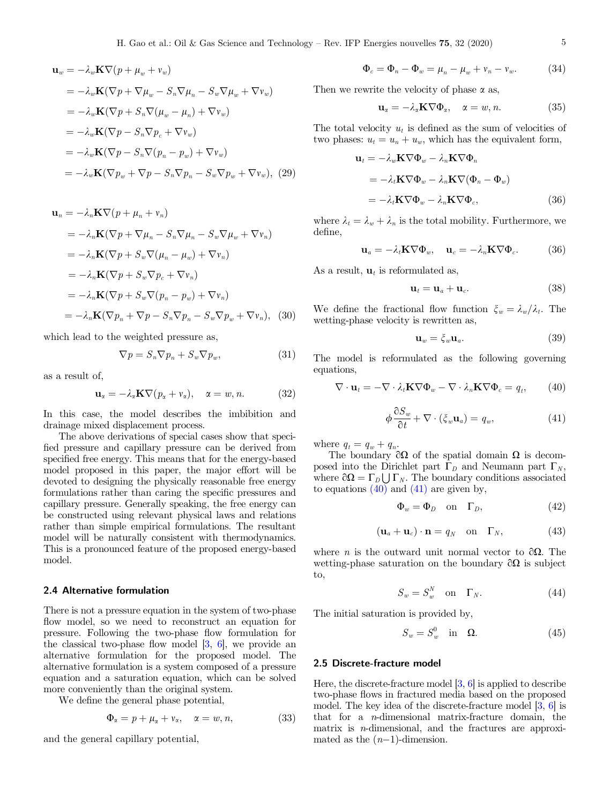<span id="page-4-0"></span>
$$
\mathbf{u}_w = -\lambda_w \mathbf{K} \nabla (p + \mu_w + v_w)
$$
  
\n
$$
= -\lambda_w \mathbf{K} (\nabla p + \nabla \mu_w - S_n \nabla \mu_n - S_w \nabla \mu_w + \nabla v_w)
$$
  
\n
$$
= -\lambda_w \mathbf{K} (\nabla p + S_n \nabla (\mu_w - \mu_n) + \nabla v_w)
$$
  
\n
$$
= -\lambda_w \mathbf{K} (\nabla p - S_n \nabla p_c + \nabla v_w)
$$
  
\n
$$
= -\lambda_w \mathbf{K} (\nabla p - S_n \nabla (p_n - p_w) + \nabla v_w)
$$
  
\n
$$
= -\lambda_w \mathbf{K} (\nabla p_w + \nabla p - S_n \nabla p_n - S_w \nabla p_w + \nabla v_w), (29)
$$

$$
\mathbf{u}_n = -\lambda_n \mathbf{K} \nabla (p + \mu_n + v_n)
$$
  
\n
$$
= -\lambda_n \mathbf{K} (\nabla p + \nabla \mu_n - S_n \nabla \mu_n - S_w \nabla \mu_w + \nabla v_n)
$$
  
\n
$$
= -\lambda_n \mathbf{K} (\nabla p + S_w \nabla (\mu_n - \mu_w) + \nabla v_n)
$$
  
\n
$$
= -\lambda_n \mathbf{K} (\nabla p + S_w \nabla p_c + \nabla v_n)
$$
  
\n
$$
= -\lambda_n \mathbf{K} (\nabla p + S_w \nabla (p_n - p_w) + \nabla v_n)
$$
  
\n
$$
= -\lambda_n \mathbf{K} (\nabla p_n + \nabla p - S_n \nabla p_n - S_w \nabla p_w + \nabla v_n), \quad (30)
$$

which lead to the weighted pressure as,

$$
\nabla p = S_n \nabla p_n + S_w \nabla p_w, \qquad (31)
$$

as a result of,

$$
\mathbf{u}_{\alpha} = -\lambda_{\alpha} \mathbf{K} \nabla (p_{\alpha} + v_{\alpha}), \quad \alpha = w, n. \tag{32}
$$

In this case, the model describes the imbibition and drainage mixed displacement process.

The above derivations of special cases show that specified pressure and capillary pressure can be derived from specified free energy. This means that for the energy-based model proposed in this paper, the major effort will be devoted to designing the physically reasonable free energy formulations rather than caring the specific pressures and capillary pressure. Generally speaking, the free energy can be constructed using relevant physical laws and relations rather than simple empirical formulations. The resultant model will be naturally consistent with thermodynamics. This is a pronounced feature of the proposed energy-based model.

#### 2.4 Alternative formulation

There is not a pressure equation in the system of two-phase flow model, so we need to reconstruct an equation for pressure. Following the two-phase flow formulation for the classical two-phase flow model [\[3,](#page-10-0) [6\]](#page-10-0), we provide an alternative formulation for the proposed model. The alternative formulation is a system composed of a pressure equation and a saturation equation, which can be solved more conveniently than the original system.

We define the general phase potential,

$$
\Phi_{\alpha} = p + \mu_{\alpha} + \nu_{\alpha}, \quad \alpha = w, n,
$$
\n(33)

and the general capillary potential,

$$
\Phi_c = \Phi_n - \Phi_w = \mu_n - \mu_w + \nu_n - \nu_w. \tag{34}
$$

Then we rewrite the velocity of phase  $\alpha$  as,

$$
\mathbf{u}_{\alpha} = -\lambda_{\alpha} \mathbf{K} \nabla \Phi_{\alpha}, \quad \alpha = w, n. \tag{35}
$$

The total velocity  $u_t$  is defined as the sum of velocities of two phases:  $u_t = u_n + u_w$ , which has the equivalent form,

$$
\mathbf{u}_{t} = -\lambda_{w} \mathbf{K} \nabla \Phi_{w} - \lambda_{n} \mathbf{K} \nabla \Phi_{n}
$$
  
=  $-\lambda_{t} \mathbf{K} \nabla \Phi_{w} - \lambda_{n} \mathbf{K} \nabla (\Phi_{n} - \Phi_{w})$   
=  $-\lambda_{t} \mathbf{K} \nabla \Phi_{w} - \lambda_{n} \mathbf{K} \nabla \Phi_{c},$  (36)

where  $\lambda_t = \lambda_w + \lambda_n$  is the total mobility. Furthermore, we define,

$$
\mathbf{u}_a = -\lambda_t \mathbf{K} \nabla \Phi_w, \quad \mathbf{u}_c = -\lambda_n \mathbf{K} \nabla \Phi_c.
$$
 (36)

As a result,  $\mathbf{u}_t$  is reformulated as,

$$
\mathbf{u}_t = \mathbf{u}_a + \mathbf{u}_c. \tag{38}
$$

We define the fractional flow function  $\xi_w = \lambda_w/\lambda_t$ . The wetting-phase velocity is rewritten as,

$$
\mathbf{u}_w = \xi_w \mathbf{u}_a. \tag{39}
$$

The model is reformulated as the following governing equations,

$$
\nabla \cdot \mathbf{u}_t = -\nabla \cdot \lambda_t \mathbf{K} \nabla \Phi_w - \nabla \cdot \lambda_n \mathbf{K} \nabla \Phi_c = q_t, \qquad (40)
$$

$$
\phi \frac{\partial S_w}{\partial t} + \nabla \cdot (\xi_w \mathbf{u}_a) = q_w,\tag{41}
$$

where  $q_t = q_w + q_n$ .

The boundary  $\partial\Omega$  of the spatial domain  $\Omega$  is decomposed into the Dirichlet part  $\Gamma_D$  and Neumann part  $\Gamma_N$ , where  $\partial \Omega = \Gamma_D \bigcup \Gamma_N$ . The boundary conditions associated to equations  $(40)$  and  $(41)$  are given by,

$$
\Phi_w = \Phi_D \quad \text{on} \quad \Gamma_D,\tag{42}
$$

$$
(\mathbf{u}_a + \mathbf{u}_c) \cdot \mathbf{n} = q_N \quad \text{on} \quad \Gamma_N,\tag{43}
$$

where *n* is the outward unit normal vector to  $\partial\Omega$ . The wetting-phase saturation on the boundary  $\partial\Omega$  is subject to,

$$
S_w = S_w^N \quad \text{on} \quad \Gamma_N. \tag{44}
$$

The initial saturation is provided by,

$$
S_w = S_w^0 \quad \text{in} \quad \Omega. \tag{45}
$$

#### 2.5 Discrete-fracture model

Here, the discrete-fracture model  $[3, 6]$  $[3, 6]$  $[3, 6]$  $[3, 6]$  $[3, 6]$  is applied to describe two-phase flows in fractured media based on the proposed model. The key idea of the discrete-fracture model [[3,](#page-10-0) [6](#page-10-0)] is that for a n-dimensional matrix-fracture domain, the matrix is n-dimensional, and the fractures are approximated as the  $(n-1)$ -dimension.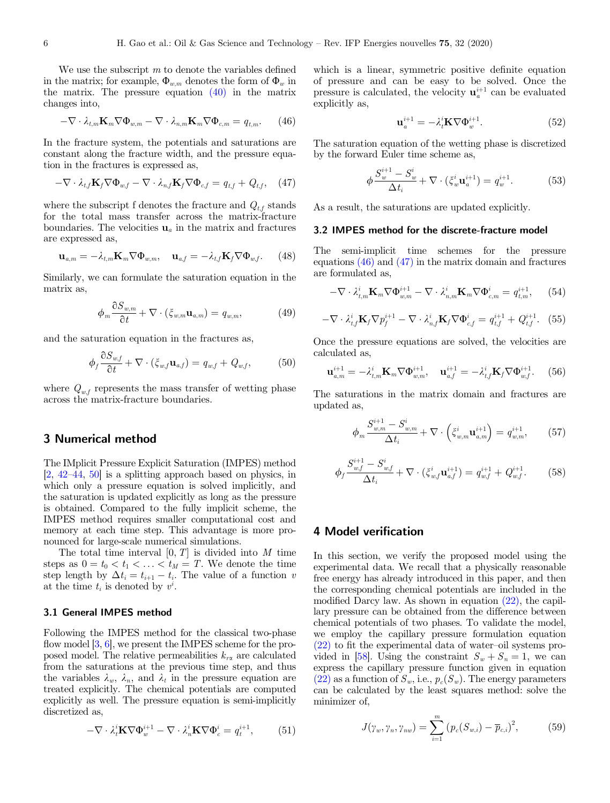<span id="page-5-0"></span>We use the subscript  $m$  to denote the variables defined in the matrix; for example,  $\Phi_{w,m}$  denotes the form of  $\Phi_w$  in the matrix. The pressure equation  $(40)$  in the matrix changes into,

$$
-\nabla \cdot \lambda_{t,m} \mathbf{K}_m \nabla \Phi_{w,m} - \nabla \cdot \lambda_{n,m} \mathbf{K}_m \nabla \Phi_{c,m} = q_{t,m}. \qquad (46)
$$

In the fracture system, the potentials and saturations are constant along the fracture width, and the pressure equation in the fractures is expressed as,

$$
-\nabla \cdot \lambda_{t,f} \mathbf{K}_f \nabla \Phi_{w,f} - \nabla \cdot \lambda_{n,f} \mathbf{K}_f \nabla \Phi_{c,f} = q_{t,f} + Q_{t,f}, \quad (47)
$$

where the subscript f denotes the fracture and  $Q_{tf}$  stands for the total mass transfer across the matrix-fracture boundaries. The velocities  $\mathbf{u}_a$  in the matrix and fractures are expressed as,

$$
\mathbf{u}_{a,m} = -\lambda_{t,m} \mathbf{K}_m \nabla \Phi_{w,m}, \quad \mathbf{u}_{a,f} = -\lambda_{t,f} \mathbf{K}_f \nabla \Phi_{w,f}.
$$
 (48)

Similarly, we can formulate the saturation equation in the matrix as,

$$
\phi_m \frac{\partial S_{w,m}}{\partial t} + \nabla \cdot (\xi_{w,m} \mathbf{u}_{a,m}) = q_{w,m}, \tag{49}
$$

and the saturation equation in the fractures as,

$$
\phi_f \frac{\partial S_{w,f}}{\partial t} + \nabla \cdot (\xi_{w,f} \mathbf{u}_{a,f}) = q_{w,f} + Q_{w,f},\tag{50}
$$

where  $Q_{w,f}$  represents the mass transfer of wetting phase across the matrix-fracture boundaries.

## 3 Numerical method

The IMplicit Pressure Explicit Saturation (IMPES) method [\[2,](#page-10-0) [42](#page-11-0)–[44,](#page-11-0) [50\]](#page-11-0) is a splitting approach based on physics, in which only a pressure equation is solved implicitly, and the saturation is updated explicitly as long as the pressure is obtained. Compared to the fully implicit scheme, the IMPES method requires smaller computational cost and memory at each time step. This advantage is more pronounced for large-scale numerical simulations.

The total time interval  $[0, T]$  is divided into M time steps as  $0 = t_0 < t_1 < \ldots < t_M = T$ . We denote the time step length by  $\Delta t_i = t_{i+1} - t_i$ . The value of a function v at the time  $t_i$  is denoted by  $v^i$ .

### 3.1 General IMPES method

Following the IMPES method for the classical two-phase flow model [\[3](#page-10-0), [6\]](#page-10-0), we present the IMPES scheme for the proposed model. The relative permeabilities  $k_{r\alpha}$  are calculated from the saturations at the previous time step, and thus the variables  $\lambda_w$ ,  $\lambda_n$ , and  $\lambda_t$  in the pressure equation are treated explicitly. The chemical potentials are computed explicitly as well. The pressure equation is semi-implicitly discretized as,

$$
-\nabla \cdot \lambda_t^i \mathbf{K} \nabla \Phi_w^{i+1} - \nabla \cdot \lambda_n^i \mathbf{K} \nabla \Phi_c^i = q_t^{i+1},\tag{51}
$$

which is a linear, symmetric positive definite equation of pressure and can be easy to be solved. Once the pressure is calculated, the velocity  $\mathbf{u}_{a}^{i+1}$  can be evaluated explicitly as,

$$
\mathbf{u}_a^{i+1} = -\lambda_t^i \mathbf{K} \nabla \Phi_w^{i+1}.
$$
 (52)

The saturation equation of the wetting phase is discretized by the forward Euler time scheme as,

$$
\phi \frac{S_w^{i+1} - S_w^i}{\Delta t_i} + \nabla \cdot (\xi_w^i \mathbf{u}_a^{i+1}) = q_w^{i+1}.
$$
 (53)

As a result, the saturations are updated explicitly.

## 3.2 IMPES method for the discrete-fracture model

The semi-implicit time schemes for the pressure equations  $(46)$  and  $(47)$  in the matrix domain and fractures are formulated as,

$$
-\nabla \cdot \lambda_{t,m}^{i} \mathbf{K}_{m} \nabla \Phi_{w,m}^{i+1} - \nabla \cdot \lambda_{n,m}^{i} \mathbf{K}_{m} \nabla \Phi_{c,m}^{i} = q_{t,m}^{i+1}, \qquad (54)
$$

$$
-\nabla \cdot \lambda_{t,f}^i \mathbf{K}_f \nabla p_f^{i+1} - \nabla \cdot \lambda_{n,f}^i \mathbf{K}_f \nabla \Phi_{c,f}^i = q_{t,f}^{i+1} + Q_{t,f}^{i+1}.
$$
 (55)

Once the pressure equations are solved, the velocities are calculated as,

$$
\mathbf{u}_{a,m}^{i+1} = -\lambda_{t,m}^i \mathbf{K}_m \nabla \Phi_{w,m}^{i+1}, \quad \mathbf{u}_{a,f}^{i+1} = -\lambda_{t,f}^i \mathbf{K}_f \nabla \Phi_{w,f}^{i+1}.
$$
 (56)

The saturations in the matrix domain and fractures are updated as,

$$
\phi_m \frac{S_{w,m}^{i+1} - S_{w,m}^i}{\Delta t_i} + \nabla \cdot \left(\xi_{w,m}^i \mathbf{u}_{a,m}^{i+1}\right) = q_{w,m}^{i+1},\qquad(57)
$$

$$
\phi_f \frac{S_{w,f}^{i+1} - S_{w,f}^i}{\Delta t_i} + \nabla \cdot (\xi_{w,f}^i \mathbf{u}_{a,f}^{i+1}) = q_{w,f}^{i+1} + Q_{w,f}^{i+1}.
$$
 (58)

## 4 Model verification

In this section, we verify the proposed model using the experimental data. We recall that a physically reasonable free energy has already introduced in this paper, and then the corresponding chemical potentials are included in the modified Darcy law. As shown in equation  $(22)$ , the capillary pressure can be obtained from the difference between chemical potentials of two phases. To validate the model, we employ the capillary pressure formulation equation [\(22\)](#page-3-0) to fit the experimental data of water–oil systems pro-vided in [\[58\]](#page-11-0). Using the constraint  $S_w + S_n = 1$ , we can express the capillary pressure function given in equation [\(22\)](#page-3-0) as a function of  $S_w$ , i.e.,  $p_c(S_w)$ . The energy parameters can be calculated by the least squares method: solve the minimizer of,

$$
J(\gamma_w, \gamma_n, \gamma_{nw}) = \sum_{i=1}^{m} (p_c(S_{w,i}) - \overline{p}_{c,i})^2,
$$
 (59)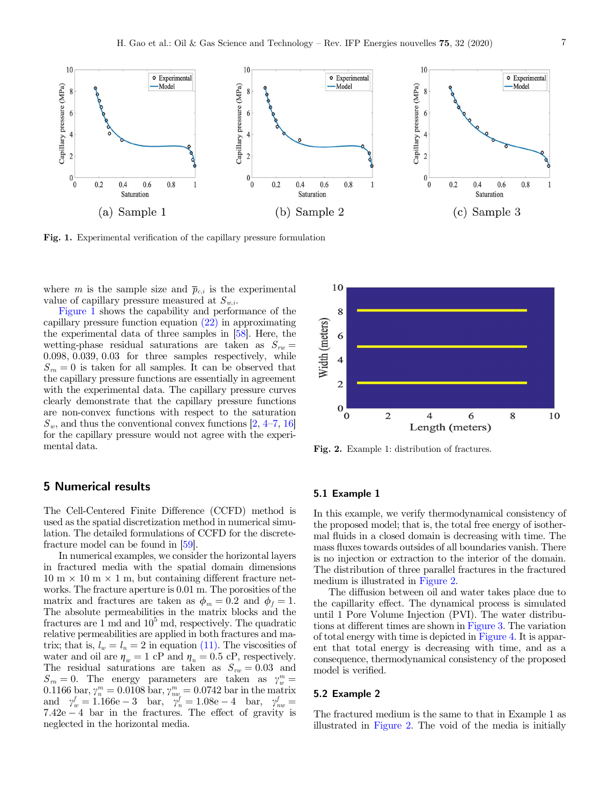<span id="page-6-0"></span>

Fig. 1. Experimental verification of the capillary pressure formulation

where m is the sample size and  $\overline{p}_{c,i}$  is the experimental value of capillary pressure measured at  $S_{w,i}$ .

Figure 1 shows the capability and performance of the capillary pressure function equation [\(22\)](#page-3-0) in approximating the experimental data of three samples in [\[58\]](#page-11-0). Here, the wetting-phase residual saturations are taken as  $S_{rw} =$ 0:098; 0:039; 0:03 for three samples respectively, while  $S_m = 0$  is taken for all samples. It can be observed that the capillary pressure functions are essentially in agreement with the experimental data. The capillary pressure curves clearly demonstrate that the capillary pressure functions are non-convex functions with respect to the saturation  $S_w$ , and thus the conventional convex functions [\[2](#page-10-0), [4](#page-10-0)–[7](#page-10-0), [16](#page-10-0)] for the capillary pressure would not agree with the experimental data.

## 5 Numerical results

The Cell-Centered Finite Difference (CCFD) method is used as the spatial discretization method in numerical simulation. The detailed formulations of CCFD for the discretefracture model can be found in [[59](#page-11-0)].

In numerical examples, we consider the horizontal layers in fractured media with the spatial domain dimensions  $10 \text{ m} \times 10 \text{ m} \times 1 \text{ m}$ , but containing different fracture networks. The fracture aperture is 0.01 m. The porosities of the matrix and fractures are taken as  $\phi_m = 0.2$  and  $\phi_f = 1$ . The absolute permeabilities in the matrix blocks and the fractures are  $1 \text{ md}$  and  $10^5 \text{ md}$ , respectively. The quadratic relative permeabilities are applied in both fractures and matrix; that is,  $l_w = l_n = 2$  in equation [\(11\)](#page-2-0). The viscosities of water and oil are  $\eta_w = 1$  cP and  $\eta_n = 0.5$  cP, respectively. The residual saturations are taken as  $S_{rw} = 0.03$  and  $S_m = 0$ . The energy parameters are taken as  $\gamma_w^m = 0.1166$  bar,  $\gamma_n^m = 0.0108$  bar,  $\gamma_w^m = 0.0742$  bar in the matrix and  $\gamma_v^f = 1.166e - 3$  bar  $\gamma_v^f = 1.08e - 4$  bar  $\gamma_v^f = 1$ and  $\gamma_w^f = 1.166e - 3$  bar,  $\gamma_n^f = 1.08e - 4$  bar,  $\gamma_{nw}^f = 7.42e - 4$  bar in the fractures. The effect of gravity is neglected in the horizontal media.



Fig. 2. Example 1: distribution of fractures.

#### 5.1 Example 1

In this example, we verify thermodynamical consistency of the proposed model; that is, the total free energy of isothermal fluids in a closed domain is decreasing with time. The mass fluxes towards outsides of all boundaries vanish. There is no injection or extraction to the interior of the domain. The distribution of three parallel fractures in the fractured medium is illustrated in Figure 2.

The diffusion between oil and water takes place due to the capillarity effect. The dynamical process is simulated until 1 Pore Volume Injection (PVI). The water distributions at different times are shown in [Figure 3.](#page-7-0) The variation of total energy with time is depicted in [Figure 4.](#page-7-0) It is apparent that total energy is decreasing with time, and as a consequence, thermodynamical consistency of the proposed model is verified.

#### 5.2 Example 2

The fractured medium is the same to that in Example 1 as illustrated in Figure 2. The void of the media is initially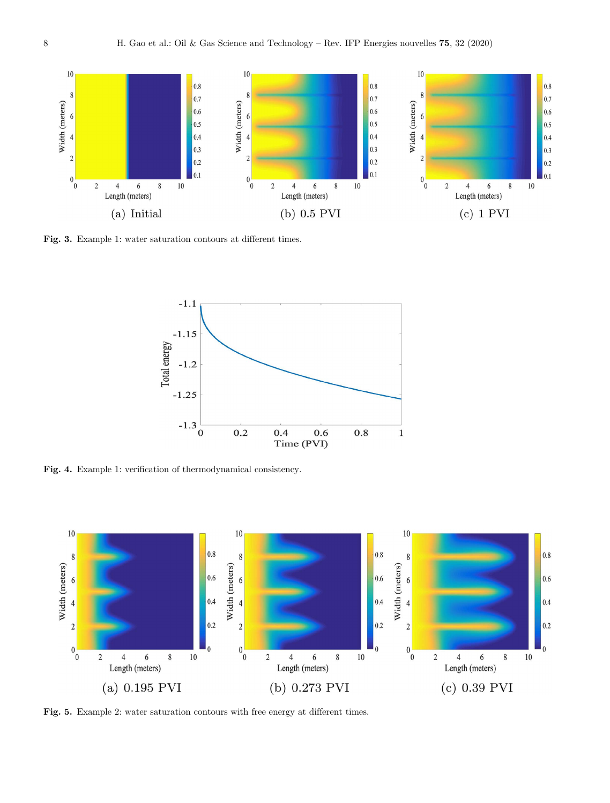<span id="page-7-0"></span>

Fig. 3. Example 1: water saturation contours at different times.



Fig. 4. Example 1: verification of thermodynamical consistency.



Fig. 5. Example 2: water saturation contours with free energy at different times.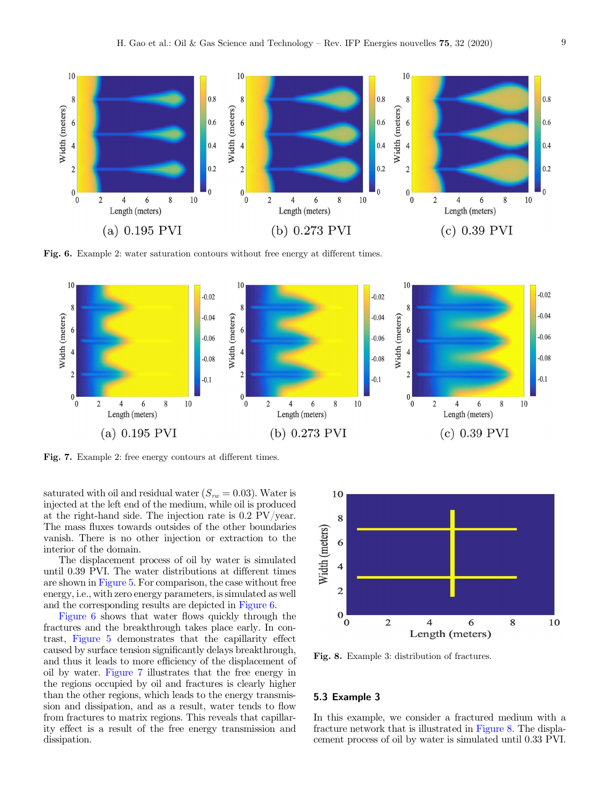

Fig. 6. Example 2: water saturation contours without free energy at different times.



Fig. 7. Example 2: free energy contours at different times.

saturated with oil and residual water  $(S_{rw} = 0.03)$ . Water is injected at the left end of the medium, while oil is produced at the right-hand side. The injection rate is 0.2 PV/year. The mass fluxes towards outsides of the other boundaries vanish. There is no other injection or extraction to the interior of the domain.

The displacement process of oil by water is simulated until 0.39 PVI. The water distributions at different times are shown in [Figure 5](#page-7-0). For comparison, the case without free energy, i.e., with zero energy parameters, is simulated as well and the corresponding results are depicted in Figure 6.

Figure 6 shows that water flows quickly through the fractures and the breakthrough takes place early. In contrast, [Figure 5](#page-7-0) demonstrates that the capillarity effect caused by surface tension significantly delays breakthrough, and thus it leads to more efficiency of the displacement of oil by water. Figure 7 illustrates that the free energy in the regions occupied by oil and fractures is clearly higher than the other regions, which leads to the energy transmission and dissipation, and as a result, water tends to flow from fractures to matrix regions. This reveals that capillarity effect is a result of the free energy transmission and dissipation.



Fig. 8. Example 3: distribution of fractures.

### 5.3 Example 3

In this example, we consider a fractured medium with a fracture network that is illustrated in Figure 8. The displacement process of oil by water is simulated until 0.33 PVI.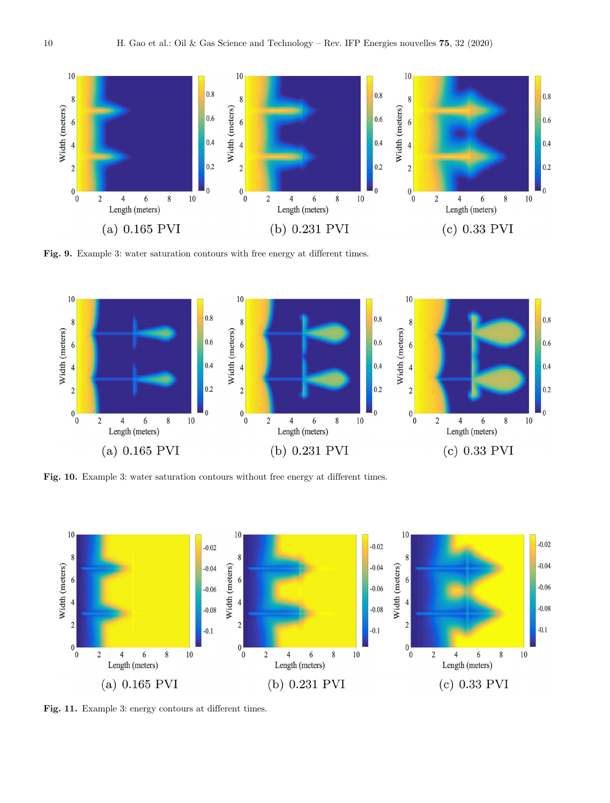<span id="page-9-0"></span>

Fig. 9. Example 3: water saturation contours with free energy at different times.



Fig. 10. Example 3: water saturation contours without free energy at different times.



Fig. 11. Example 3: energy contours at different times.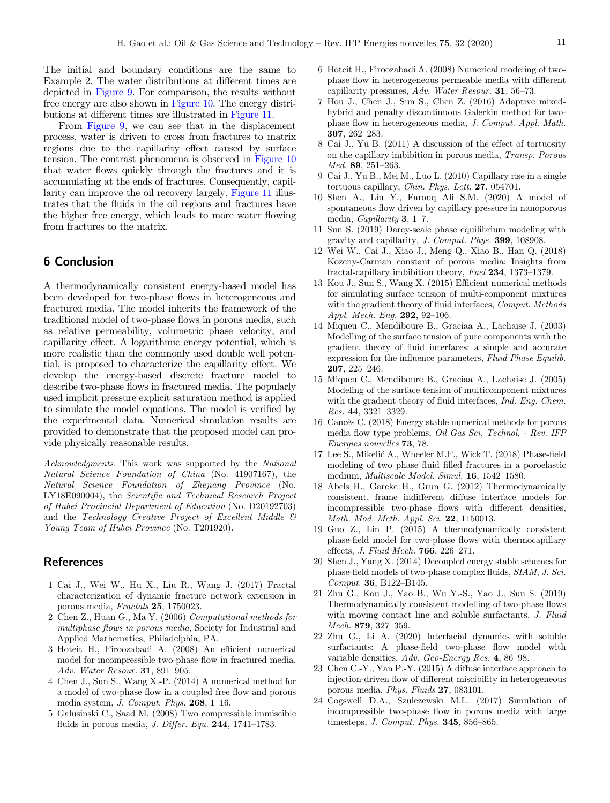<span id="page-10-0"></span>The initial and boundary conditions are the same to Example 2. The water distributions at different times are depicted in [Figure 9](#page-9-0). For comparison, the results without free energy are also shown in [Figure 10.](#page-9-0) The energy distributions at different times are illustrated in [Figure 11](#page-9-0).

From [Figure 9,](#page-9-0) we can see that in the displacement process, water is driven to cross from fractures to matrix regions due to the capillarity effect caused by surface tension. The contrast phenomena is observed in [Figure 10](#page-9-0) that water flows quickly through the fractures and it is accumulating at the ends of fractures. Consequently, capillarity can improve the oil recovery largely. [Figure 11](#page-9-0) illustrates that the fluids in the oil regions and fractures have the higher free energy, which leads to more water flowing from fractures to the matrix.

## 6 Conclusion

A thermodynamically consistent energy-based model has been developed for two-phase flows in heterogeneous and fractured media. The model inherits the framework of the traditional model of two-phase flows in porous media, such as relative permeability, volumetric phase velocity, and capillarity effect. A logarithmic energy potential, which is more realistic than the commonly used double well potential, is proposed to characterize the capillarity effect. We develop the energy-based discrete fracture model to describe two-phase flows in fractured media. The popularly used implicit pressure explicit saturation method is applied to simulate the model equations. The model is verified by the experimental data. Numerical simulation results are provided to demonstrate that the proposed model can provide physically reasonable results.

Acknowledgments. This work was supported by the National Natural Science Foundation of China (No. 41907167), the Natural Science Foundation of Zhejiang Province (No. LY18E090004), the Scientific and Technical Research Project of Hubei Provincial Department of Education (No. D20192703) and the Technology Creative Project of Excellent Middle & Young Team of Hubei Province (No. T201920).

# **References**

- 1 Cai J., Wei W., Hu X., Liu R., Wang J. (2017) Fractal characterization of dynamic fracture network extension in porous media, Fractals 25, 1750023.
- 2 Chen Z., Huan G., Ma Y. (2006) Computational methods for multiphase flows in porous media, Society for Industrial and Applied Mathematics, Philadelphia, PA.
- 3 Hoteit H., Firoozabadi A. (2008) An efficient numerical model for incompressible two-phase flow in fractured media, Adv. Water Resour. <sup>31</sup>, 891–905.
- 4 Chen J., Sun S., Wang X.-P. (2014) A numerical method for a model of two-phase flow in a coupled free flow and porous media system, J. Comput. Phys. <sup>268</sup>, 1–16.
- 5 Galusinski C., Saad M. (2008) Two compressible immiscible fluids in porous media, J. Differ. Equ. 244, 1741-1783.
- 6 Hoteit H., Firoozabadi A. (2008) Numerical modeling of twophase flow in heterogeneous permeable media with different capillarity pressures, Adv. Water Resour. <sup>31</sup>, 56–73.
- 7 Hou J., Chen J., Sun S., Chen Z. (2016) Adaptive mixedhybrid and penalty discontinuous Galerkin method for twophase flow in heterogeneous media, J. Comput. Appl. Math. <sup>307</sup>, 262–283.
- 8 Cai J., Yu B. (2011) A discussion of the effect of tortuosity on the capillary imbibition in porous media, Transp. Porous Med. <sup>89</sup>, 251–263.
- 9 Cai J., Yu B., Mei M., Luo L. (2010) Capillary rise in a single tortuous capillary, Chin. Phys. Lett. 27, 054701.
- 10 Shen A., Liu Y., Farouq Ali S.M. (2020) A model of spontaneous flow driven by capillary pressure in nanoporous media, Capillarity <sup>3</sup>, 1–7.
- 11 Sun S. (2019) Darcy-scale phase equilibrium modeling with gravity and capillarity, J. Comput. Phys. 399, 108908.
- 12 Wei W., Cai J., Xiao J., Meng Q., Xiao B., Han Q. (2018) Kozeny-Carman constant of porous media: Insights from fractal-capillary imbibition theory, Fuel <sup>234</sup>, 1373–1379.
- 13 Kou J., Sun S., Wang X. (2015) Efficient numerical methods for simulating surface tension of multi-component mixtures with the gradient theory of fluid interfaces, Comput. Methods Appl. Mech. Eng. 292, 92-106.
- 14 Miqueu C., Mendiboure B., Graciaa A., Lachaise J. (2003) Modelling of the surface tension of pure components with the gradient theory of fluid interfaces: a simple and accurate expression for the influence parameters, Fluid Phase Equilib. <sup>207</sup>, 225–246.
- 15 Miqueu C., Mendiboure B., Graciaa A., Lachaise J. (2005) Modeling of the surface tension of multicomponent mixtures with the gradient theory of fluid interfaces, *Ind. Eng. Chem.* Res. <sup>44</sup>, 3321–3329.
- 16 Cancès C. (2018) Energy stable numerical methods for porous media flow type problems, Oil Gas Sci. Technol. - Rev. IFP Energies nouvelles 73, 78.
- 17 Lee S., Mikelić A., Wheeler M.F., Wick T. (2018) Phase-field modeling of two phase fluid filled fractures in a poroelastic medium, Multiscale Model. Simul. <sup>16</sup>, 1542–1580.
- 18 Abels H., Garcke H., Grun G. (2012) Thermodynamically consistent, frame indifferent diffuse interface models for incompressible two-phase flows with different densities, Math. Mod. Meth. Appl. Sci. 22, 1150013.
- 19 Guo Z., Lin P. (2015) A thermodynamically consistent phase-field model for two-phase flows with thermocapillary effects, J. Fluid Mech. <sup>766</sup>, 226–271.
- 20 Shen J., Yang X. (2014) Decoupled energy stable schemes for phase-field models of two-phase complex fluids, SIAM, J. Sci. Comput. <sup>36</sup>, B122–B145.
- 21 Zhu G., Kou J., Yao B., Wu Y.-S., Yao J., Sun S. (2019) Thermodynamically consistent modelling of two-phase flows with moving contact line and soluble surfactants, *J. Fluid* Mech. <sup>879</sup>, 327–359.
- 22 Zhu G., Li A. (2020) Interfacial dynamics with soluble surfactants: A phase-field two-phase flow model with variable densities, Adv. Geo-Energy Res. <sup>4</sup>, 86–98.
- 23 Chen C.-Y., Yan P.-Y. (2015) A diffuse interface approach to injection-driven flow of different miscibility in heterogeneous porous media, Phys. Fluids 27, 083101.
- 24 Cogswell D.A., Szulczewski M.L. (2017) Simulation of incompressible two-phase flow in porous media with large timesteps, J. Comput. Phys. <sup>345</sup>, 856–865.